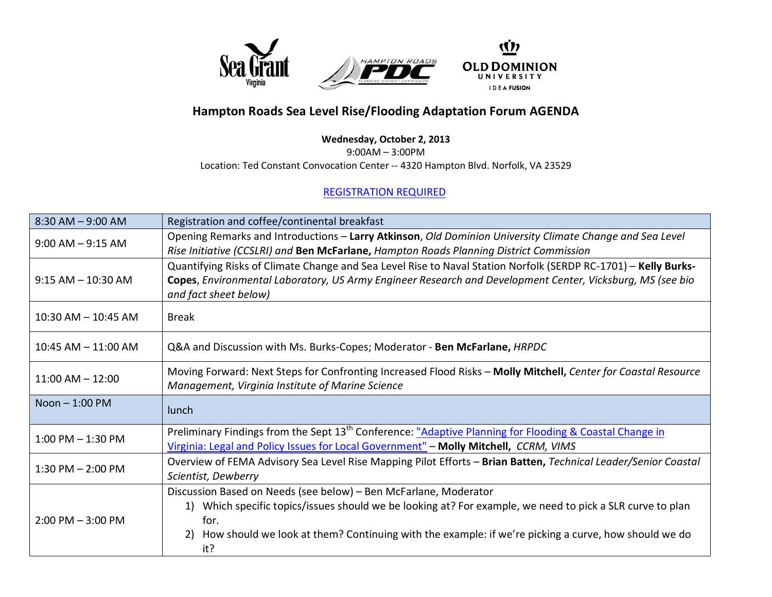

## **Hampton Roads Sea Level Rise/Flooding Adaptation Forum AGENDA**

## **Wednesday, October 2, 2013**

9:00AM – 3:00PM

Location: Ted Constant Convocation Center -- 4320 Hampton Blvd. Norfolk, VA 23529

## [REGISTRATION REQUIRED](https://docs.google.com/forms/d/1QEShzsA8YrjWuTuomKAl8skRyp2KySfzu4ZMRITeQ84/viewform)

| $8:30$ AM $-9:00$ AM    | Registration and coffee/continental breakfast                                                                                                                                                                                                                                                             |  |  |
|-------------------------|-----------------------------------------------------------------------------------------------------------------------------------------------------------------------------------------------------------------------------------------------------------------------------------------------------------|--|--|
| $9:00$ AM $-9:15$ AM    | Opening Remarks and Introductions - Larry Atkinson, Old Dominion University Climate Change and Sea Level<br>Rise Initiative (CCSLRI) and Ben McFarlane, Hampton Roads Planning District Commission                                                                                                        |  |  |
| $9:15$ AM $-10:30$ AM   | Quantifying Risks of Climate Change and Sea Level Rise to Naval Station Norfolk (SERDP RC-1701) - Kelly Burks-<br>Copes, Environmental Laboratory, US Army Engineer Research and Development Center, Vicksburg, MS (see bio<br>and fact sheet below)                                                      |  |  |
| $10:30$ AM $- 10:45$ AM | <b>Break</b>                                                                                                                                                                                                                                                                                              |  |  |
| $10:45$ AM $- 11:00$ AM | Q&A and Discussion with Ms. Burks-Copes; Moderator - Ben McFarlane, HRPDC                                                                                                                                                                                                                                 |  |  |
| $11:00$ AM $- 12:00$    | Moving Forward: Next Steps for Confronting Increased Flood Risks - Molly Mitchell, Center for Coastal Resource<br>Management, Virginia Institute of Marine Science                                                                                                                                        |  |  |
| Noon $-1:00$ PM         | lunch                                                                                                                                                                                                                                                                                                     |  |  |
| $1:00$ PM $-1:30$ PM    | Preliminary Findings from the Sept 13 <sup>th</sup> Conference: "Adaptive Planning for Flooding & Coastal Change in<br>Virginia: Legal and Policy Issues for Local Government" - Molly Mitchell, CCRM, VIMS                                                                                               |  |  |
| $1:30$ PM $- 2:00$ PM   | Overview of FEMA Advisory Sea Level Rise Mapping Pilot Efforts - Brian Batten, Technical Leader/Senior Coastal<br>Scientist, Dewberry                                                                                                                                                                     |  |  |
| $2:00$ PM $-3:00$ PM    | Discussion Based on Needs (see below) - Ben McFarlane, Moderator<br>1) Which specific topics/issues should we be looking at? For example, we need to pick a SLR curve to plan<br>for.<br>How should we look at them? Continuing with the example: if we're picking a curve, how should we do<br>2)<br>it? |  |  |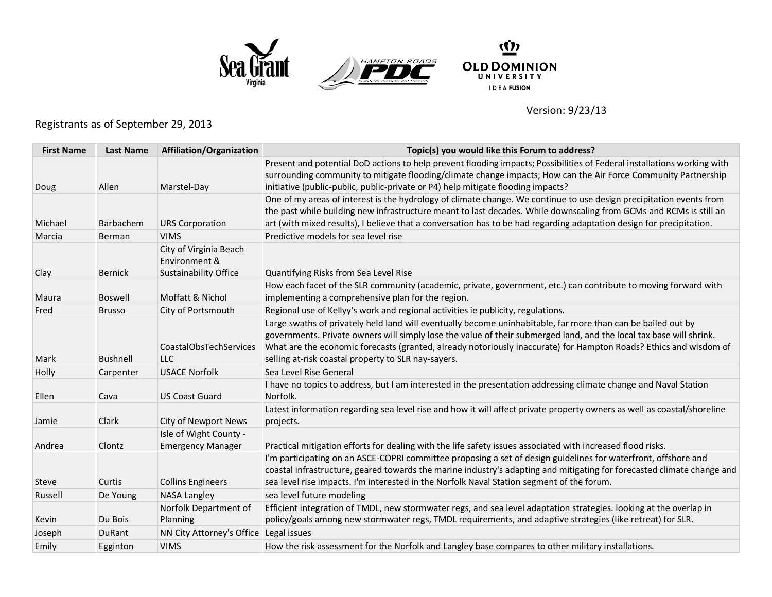





Version: 9/23/13

## Registrants as of September 29, 2013

| <b>First Name</b> | <b>Last Name</b> | Affiliation/Organization                           | Topic(s) you would like this Forum to address?                                                                                                                                                                                            |
|-------------------|------------------|----------------------------------------------------|-------------------------------------------------------------------------------------------------------------------------------------------------------------------------------------------------------------------------------------------|
|                   |                  |                                                    | Present and potential DoD actions to help prevent flooding impacts; Possibilities of Federal installations working with                                                                                                                   |
|                   |                  |                                                    | surrounding community to mitigate flooding/climate change impacts; How can the Air Force Community Partnership                                                                                                                            |
| Doug              | Allen            | Marstel-Day                                        | initiative (public-public, public-private or P4) help mitigate flooding impacts?                                                                                                                                                          |
|                   |                  |                                                    | One of my areas of interest is the hydrology of climate change. We continue to use design precipitation events from<br>the past while building new infrastructure meant to last decades. While downscaling from GCMs and RCMs is still an |
| Michael           | Barbachem        | <b>URS Corporation</b>                             | art (with mixed results), I believe that a conversation has to be had regarding adaptation design for precipitation.                                                                                                                      |
| Marcia            | Berman           | <b>VIMS</b>                                        | Predictive models for sea level rise                                                                                                                                                                                                      |
|                   |                  | City of Virginia Beach                             |                                                                                                                                                                                                                                           |
|                   |                  | Environment &                                      |                                                                                                                                                                                                                                           |
| Clay              | Bernick          | <b>Sustainability Office</b>                       | Quantifying Risks from Sea Level Rise                                                                                                                                                                                                     |
|                   |                  |                                                    | How each facet of the SLR community (academic, private, government, etc.) can contribute to moving forward with                                                                                                                           |
| Maura             | Boswell          | Moffatt & Nichol                                   | implementing a comprehensive plan for the region.                                                                                                                                                                                         |
| Fred              | <b>Brusso</b>    | City of Portsmouth                                 | Regional use of Kellyy's work and regional activities ie publicity, regulations.                                                                                                                                                          |
|                   |                  |                                                    | Large swaths of privately held land will eventually become uninhabitable, far more than can be bailed out by                                                                                                                              |
|                   |                  |                                                    | governments. Private owners will simply lose the value of their submerged land, and the local tax base will shrink.                                                                                                                       |
|                   |                  | <b>CoastalObsTechServices</b>                      | What are the economic forecasts (granted, already notoriously inaccurate) for Hampton Roads? Ethics and wisdom of                                                                                                                         |
| Mark              | <b>Bushnell</b>  | LLC                                                | selling at-risk coastal property to SLR nay-sayers.                                                                                                                                                                                       |
| Holly             | Carpenter        | <b>USACE Norfolk</b>                               | Sea Level Rise General                                                                                                                                                                                                                    |
|                   |                  |                                                    | I have no topics to address, but I am interested in the presentation addressing climate change and Naval Station                                                                                                                          |
| Ellen             | Cava             | <b>US Coast Guard</b>                              | Norfolk.                                                                                                                                                                                                                                  |
|                   |                  |                                                    | Latest information regarding sea level rise and how it will affect private property owners as well as coastal/shoreline                                                                                                                   |
| Jamie             | Clark            | City of Newport News                               | projects.                                                                                                                                                                                                                                 |
| Andrea            | Clontz           | Isle of Wight County -<br><b>Emergency Manager</b> |                                                                                                                                                                                                                                           |
|                   |                  |                                                    | Practical mitigation efforts for dealing with the life safety issues associated with increased flood risks.<br>I'm participating on an ASCE-COPRI committee proposing a set of design guidelines for waterfront, offshore and             |
|                   |                  |                                                    | coastal infrastructure, geared towards the marine industry's adapting and mitigating for forecasted climate change and                                                                                                                    |
| <b>Steve</b>      | Curtis           | <b>Collins Engineers</b>                           | sea level rise impacts. I'm interested in the Norfolk Naval Station segment of the forum.                                                                                                                                                 |
| Russell           | De Young         | <b>NASA Langley</b>                                | sea level future modeling                                                                                                                                                                                                                 |
|                   |                  | Norfolk Department of                              | Efficient integration of TMDL, new stormwater regs, and sea level adaptation strategies. looking at the overlap in                                                                                                                        |
| Kevin             | Du Bois          | Planning                                           | policy/goals among new stormwater regs, TMDL requirements, and adaptive strategies (like retreat) for SLR.                                                                                                                                |
| Joseph            | DuRant           | NN City Attorney's Office                          | Legal issues                                                                                                                                                                                                                              |
| Emily             | Egginton         | <b>VIMS</b>                                        | How the risk assessment for the Norfolk and Langley base compares to other military installations.                                                                                                                                        |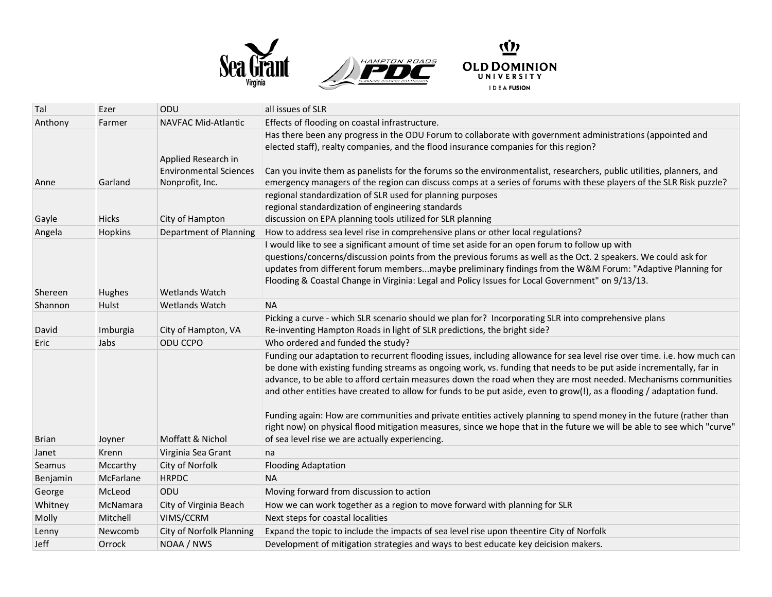





| Tal          | Ezer         | ODU                                                  | all issues of SLR                                                                                                                                                                                                                                                                                                                                                                                                                                                                                                                                                                                                                                                                                                                                                                               |
|--------------|--------------|------------------------------------------------------|-------------------------------------------------------------------------------------------------------------------------------------------------------------------------------------------------------------------------------------------------------------------------------------------------------------------------------------------------------------------------------------------------------------------------------------------------------------------------------------------------------------------------------------------------------------------------------------------------------------------------------------------------------------------------------------------------------------------------------------------------------------------------------------------------|
| Anthony      | Farmer       | <b>NAVFAC Mid-Atlantic</b>                           | Effects of flooding on coastal infrastructure.                                                                                                                                                                                                                                                                                                                                                                                                                                                                                                                                                                                                                                                                                                                                                  |
|              |              | Applied Research in<br><b>Environmental Sciences</b> | Has there been any progress in the ODU Forum to collaborate with government administrations (appointed and<br>elected staff), realty companies, and the flood insurance companies for this region?<br>Can you invite them as panelists for the forums so the environmentalist, researchers, public utilities, planners, and                                                                                                                                                                                                                                                                                                                                                                                                                                                                     |
| Anne         | Garland      | Nonprofit, Inc.                                      | emergency managers of the region can discuss comps at a series of forums with these players of the SLR Risk puzzle?                                                                                                                                                                                                                                                                                                                                                                                                                                                                                                                                                                                                                                                                             |
| Gayle        | Hicks        | City of Hampton                                      | regional standardization of SLR used for planning purposes<br>regional standardization of engineering standards<br>discussion on EPA planning tools utilized for SLR planning                                                                                                                                                                                                                                                                                                                                                                                                                                                                                                                                                                                                                   |
| Angela       | Hopkins      | Department of Planning                               | How to address sea level rise in comprehensive plans or other local regulations?                                                                                                                                                                                                                                                                                                                                                                                                                                                                                                                                                                                                                                                                                                                |
| Shereen      | Hughes       | <b>Wetlands Watch</b>                                | I would like to see a significant amount of time set aside for an open forum to follow up with<br>questions/concerns/discussion points from the previous forums as well as the Oct. 2 speakers. We could ask for<br>updates from different forum membersmaybe preliminary findings from the W&M Forum: "Adaptive Planning for<br>Flooding & Coastal Change in Virginia: Legal and Policy Issues for Local Government" on 9/13/13.                                                                                                                                                                                                                                                                                                                                                               |
| Shannon      | <b>Hulst</b> | <b>Wetlands Watch</b>                                | <b>NA</b>                                                                                                                                                                                                                                                                                                                                                                                                                                                                                                                                                                                                                                                                                                                                                                                       |
| David        | Imburgia     | City of Hampton, VA                                  | Picking a curve - which SLR scenario should we plan for? Incorporating SLR into comprehensive plans<br>Re-inventing Hampton Roads in light of SLR predictions, the bright side?                                                                                                                                                                                                                                                                                                                                                                                                                                                                                                                                                                                                                 |
| Eric         | Jabs         | ODU CCPO                                             | Who ordered and funded the study?                                                                                                                                                                                                                                                                                                                                                                                                                                                                                                                                                                                                                                                                                                                                                               |
| <b>Brian</b> | Joyner       | Moffatt & Nichol                                     | Funding our adaptation to recurrent flooding issues, including allowance for sea level rise over time. i.e. how much can<br>be done with existing funding streams as ongoing work, vs. funding that needs to be put aside incrementally, far in<br>advance, to be able to afford certain measures down the road when they are most needed. Mechanisms communities<br>and other entities have created to allow for funds to be put aside, even to grow(!), as a flooding / adaptation fund.<br>Funding again: How are communities and private entities actively planning to spend money in the future (rather than<br>right now) on physical flood mitigation measures, since we hope that in the future we will be able to see which "curve"<br>of sea level rise we are actually experiencing. |
| Janet        | Krenn        | Virginia Sea Grant                                   | na                                                                                                                                                                                                                                                                                                                                                                                                                                                                                                                                                                                                                                                                                                                                                                                              |
| Seamus       | Mccarthy     | City of Norfolk                                      | <b>Flooding Adaptation</b>                                                                                                                                                                                                                                                                                                                                                                                                                                                                                                                                                                                                                                                                                                                                                                      |
| Benjamin     | McFarlane    | <b>HRPDC</b>                                         | <b>NA</b>                                                                                                                                                                                                                                                                                                                                                                                                                                                                                                                                                                                                                                                                                                                                                                                       |
| George       | McLeod       | ODU                                                  | Moving forward from discussion to action                                                                                                                                                                                                                                                                                                                                                                                                                                                                                                                                                                                                                                                                                                                                                        |
| Whitney      | McNamara     | City of Virginia Beach                               | How we can work together as a region to move forward with planning for SLR                                                                                                                                                                                                                                                                                                                                                                                                                                                                                                                                                                                                                                                                                                                      |
| Molly        | Mitchell     | VIMS/CCRM                                            | Next steps for coastal localities                                                                                                                                                                                                                                                                                                                                                                                                                                                                                                                                                                                                                                                                                                                                                               |
| Lenny        | Newcomb      | City of Norfolk Planning                             | Expand the topic to include the impacts of sea level rise upon theentire City of Norfolk                                                                                                                                                                                                                                                                                                                                                                                                                                                                                                                                                                                                                                                                                                        |
| Jeff         | Orrock       | NOAA / NWS                                           | Development of mitigation strategies and ways to best educate key deicision makers.                                                                                                                                                                                                                                                                                                                                                                                                                                                                                                                                                                                                                                                                                                             |